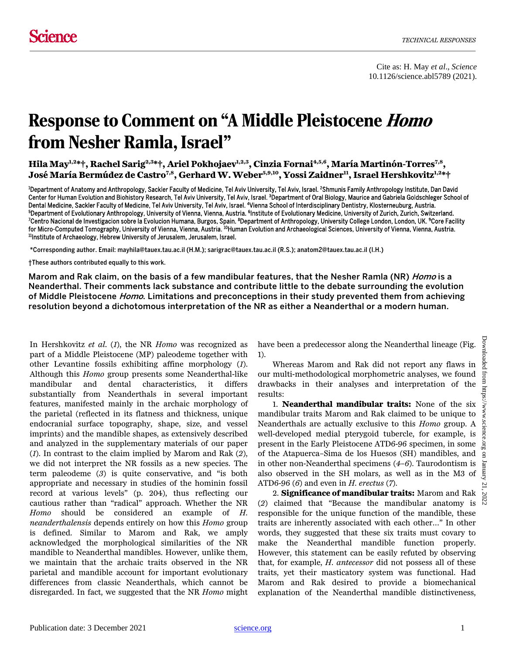Cite as: H. May *et al*., *Science* 10.1126/science.abl5789 (2021).

## Response to Comment on "A Middle Pleistocene Homo from Nesher Ramla, Israel"

**Hila May1,2\*†, Rachel Sarig2,3\*†, Ariel Pokhojaev1,2,3, Cinzia Fornai4,5,6, María Martinón-Torres7,8, José María Bermúdez de Castro7,8, Gerhard W. Weber5,9,10, Yossi Zaidner11, Israel Hershkovitz1,2\*†**

<sup>1</sup>Department of Anatomy and Anthropology, Sackler Faculty of Medicine, Tel Aviv University, Tel Aviv, Israel. <sup>2</sup>Shmunis Family Anthropology Institute, Dan David Center for Human Evolution and Biohistory Research, Tel Aviv University, Tel Aviv, Israel. <sup>3</sup>Department of Oral Biology, Maurice and Gabriela Goldschleger School of Dental Medicine, Sackler Faculty of Medicine, Tel Aviv University, Tel Aviv, Israel. <sup>4</sup>Vienna School of Interdisciplinary Dentistry, Klosterneuburg, Austria.<br><sup>5</sup>Denartment of Evolutionary Anthropolomy, University of Vienn <sup>5</sup>Department of Evolutionary Anthropology, University of Vienna, Vienna, Austria. <sup>6</sup>Institute of Evolutionary Medicine, University of Zurich, Zurich, Switzerland.<br><sup>7</sup>Centro Nacional de Investigacion sobre la Evolucion Hu Centro Nacional de Investigacion sobre la Evolucion Humana, Burgos, Spain. <sup>8</sup>Department of Anthropology, University College London, London, UK. <sup>9</sup>Core Facility for Micro-Computed Tomography, University of Vienna, Vienna, Austria. <sup>10</sup>Human Evolution and Archaeological Sciences, University of Vienna, Vienna, Austria.<br><sup>11</sup>Institute of Archaeology, Hebrew University of Jerusalem, Je

\*Corresponding author. Email: mayhila@tauex.tau.ac.il (H.M.); sarigrac@tauex.tau.ac.il (R.S.); anatom2@tauex.tau.ac.il (I.H.)

†These authors contributed equally to this work.

Marom and Rak claim, on the basis of a few mandibular features, that the Nesher Ramla (NR) *Homo* is a Neanderthal. Their comments lack substance and contribute little to the debate surrounding the evolution of Middle Pleistocene *Homo*. Limitations and preconceptions in their study prevented them from achieving resolution beyond a dichotomous interpretation of the NR as either a Neanderthal or a modern human.

In Hershkovitz *et al*. (*1*), the NR *Homo* was recognized as part of a Middle Pleistocene (MP) paleodeme together with other Levantine fossils exhibiting affine morphology (*1*). Although this *Homo* group presents some Neanderthal-like mandibular and dental characteristics, it differs substantially from Neanderthals in several important features, manifested mainly in the archaic morphology of the parietal (reflected in its flatness and thickness, unique endocranial surface topography, shape, size, and vessel imprints) and the mandible shapes, as extensively described and analyzed in the supplementary materials of our paper (*1*). In contrast to the claim implied by Marom and Rak (*2*), we did not interpret the NR fossils as a new species. The term paleodeme (*3*) is quite conservative, and "is both appropriate and necessary in studies of the hominin fossil record at various levels" (p. 204), thus reflecting our cautious rather than "radical" approach. Whether the NR *Homo* should be considered an example of *H. neanderthalensis* depends entirely on how this *Homo* group is defined. Similar to Marom and Rak, we amply acknowledged the morphological similarities of the NR mandible to Neanderthal mandibles. However, unlike them, we maintain that the archaic traits observed in the NR parietal and mandible account for important evolutionary differences from classic Neanderthals, which cannot be disregarded. In fact, we suggested that the NR *Homo* might have been a predecessor along the Neanderthal lineage (Fig. 1).

Whereas Marom and Rak did not report any flaws in our multi-methodological morphometric analyses, we found drawbacks in their analyses and interpretation of the results:

1. **Neanderthal mandibular traits:** None of the six mandibular traits Marom and Rak claimed to be unique to Neanderthals are actually exclusive to this *Homo* group. A well-developed medial pterygoid tubercle, for example, is present in the Early Pleistocene ATD6-96 specimen, in some of the Atapuerca–Sima de los Huesos (SH) mandibles, and in other non-Neanderthal specimens (*4*–*6*). Taurodontism is also observed in the SH molars, as well as in the M3 of ATD6-96 (*6*) and even in *H. erectus* (*7*).

2. **Significance of mandibular traits:** Marom and Rak (*2*) claimed that "Because the mandibular anatomy is responsible for the unique function of the mandible, these traits are inherently associated with each other…" In other words, they suggested that these six traits must covary to make the Neanderthal mandible function properly. However, this statement can be easily refuted by observing that, for example, *H. antecessor* did not possess all of these traits, yet their masticatory system was functional. Had Marom and Rak desired to provide a biomechanical explanation of the Neanderthal mandible distinctiveness,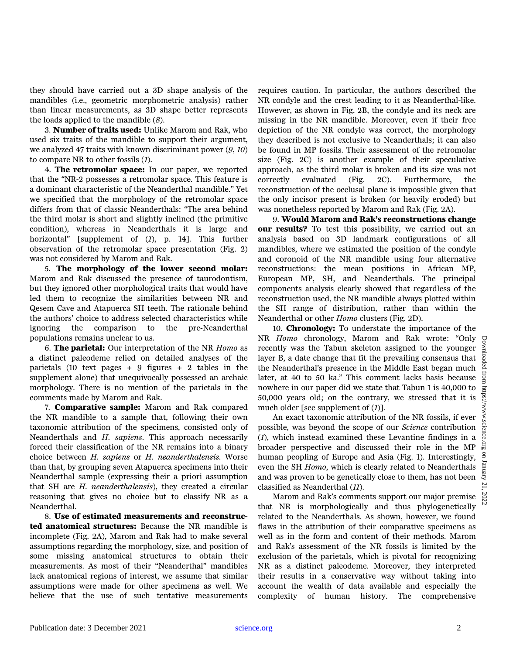they should have carried out a 3D shape analysis of the mandibles (i.e., geometric morphometric analysis) rather than linear measurements, as 3D shape better represents the loads applied to the mandible (*8*).

3. **Number of traits used:** Unlike Marom and Rak, who used six traits of the mandible to support their argument, we analyzed 47 traits with known discriminant power (*9*, *10*) to compare NR to other fossils (*1*).

4. **The retromolar space:** In our paper, we reported that the "NR-2 possesses a retromolar space. This feature is a dominant characteristic of the Neanderthal mandible." Yet we specified that the morphology of the retromolar space differs from that of classic Neanderthals: "The area behind the third molar is short and slightly inclined (the primitive condition), whereas in Neanderthals it is large and horizontal" [supplement of (*1*), p. 14]. This further observation of the retromolar space presentation (Fig. 2) was not considered by Marom and Rak.

5. **The morphology of the lower second molar:** Marom and Rak discussed the presence of taurodontism, but they ignored other morphological traits that would have led them to recognize the similarities between NR and Qesem Cave and Atapuerca SH teeth. The rationale behind the authors' choice to address selected characteristics while ignoring the comparison to the pre-Neanderthal populations remains unclear to us.

6. **The parietal:** Our interpretation of the NR *Homo* as a distinct paleodeme relied on detailed analyses of the parietals (10 text pages  $+ 9$  figures  $+ 2$  tables in the supplement alone) that unequivocally possessed an archaic morphology. There is no mention of the parietals in the comments made by Marom and Rak.

7. **Comparative sample:** Marom and Rak compared the NR mandible to a sample that, following their own taxonomic attribution of the specimens, consisted only of Neanderthals and *H. sapiens*. This approach necessarily forced their classification of the NR remains into a binary choice between *H. sapiens* or *H. neanderthalensis.* Worse than that, by grouping seven Atapuerca specimens into their Neanderthal sample (expressing their a priori assumption that SH are *H. neanderthalensis*), they created a circular reasoning that gives no choice but to classify NR as a Neanderthal.

8. **Use of estimated measurements and reconstructed anatomical structures:** Because the NR mandible is incomplete (Fig. 2A), Marom and Rak had to make several assumptions regarding the morphology, size, and position of some missing anatomical structures to obtain their measurements. As most of their "Neanderthal" mandibles lack anatomical regions of interest, we assume that similar assumptions were made for other specimens as well. We believe that the use of such tentative measurements requires caution. In particular, the authors described the NR condyle and the crest leading to it as Neanderthal-like. However, as shown in Fig. 2B, the condyle and its neck are missing in the NR mandible. Moreover, even if their free depiction of the NR condyle was correct, the morphology they described is not exclusive to Neanderthals; it can also be found in MP fossils. Their assessment of the retromolar size (Fig. 2C) is another example of their speculative approach, as the third molar is broken and its size was not correctly evaluated (Fig. 2C). Furthermore, the reconstruction of the occlusal plane is impossible given that the only incisor present is broken (or heavily eroded) but was nonetheless reported by Marom and Rak (Fig. 2A).

9. **Would Marom and Rak's reconstructions change our results?** To test this possibility, we carried out an analysis based on 3D landmark configurations of all mandibles, where we estimated the position of the condyle and coronoid of the NR mandible using four alternative reconstructions: the mean positions in African MP, European MP, SH, and Neanderthals. The principal components analysis clearly showed that regardless of the reconstruction used, the NR mandible always plotted within the SH range of distribution, rather than within the Neanderthal or other *Homo* clusters (Fig. 2D).

10. **Chronology:** To understate the importance of the NR *Homo* chronology, Marom and Rak wrote: "Only recently was the Tabun skeleton assigned to the younger layer B, a date change that fit the prevailing consensus that the Neanderthal's presence in the Middle East began much later, at 40 to 50 ka." This comment lacks basis because nowhere in our paper did we state that Tabun 1 is 40,000 to 50,000 years old; on the contrary, we stressed that it is much older [see supplement of (*1*)].

An exact taxonomic attribution of the NR fossils, if ever possible, was beyond the scope of our *Science* contribution (*1*), which instead examined these Levantine findings in a broader perspective and discussed their role in the MP human peopling of Europe and Asia (Fig. 1). Interestingly, even the SH *Homo*, which is clearly related to Neanderthals and was proven to be genetically close to them, has not been classified as Neanderthal (*11*).

Marom and Rak's comments support our major premise that NR is morphologically and thus phylogenetically related to the Neanderthals. As shown, however, we found flaws in the attribution of their comparative specimens as well as in the form and content of their methods. Marom and Rak's assessment of the NR fossils is limited by the exclusion of the parietals, which is pivotal for recognizing NR as a distinct paleodeme. Moreover, they interpreted their results in a conservative way without taking into account the wealth of data available and especially the complexity of human history. The comprehensive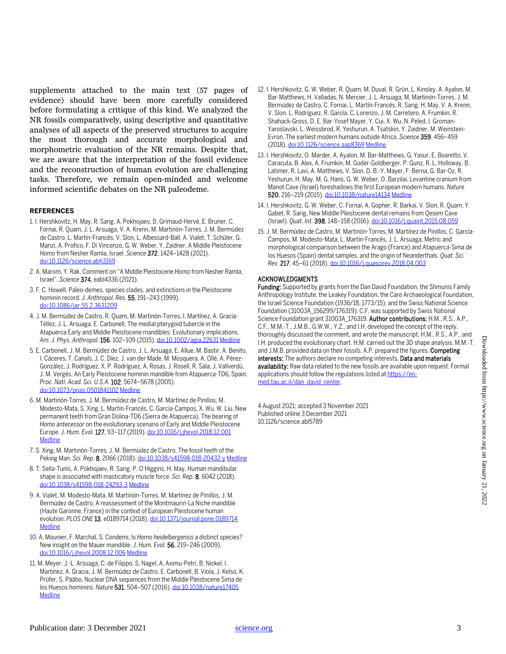supplements attached to the main text (57 pages of evidence) should have been more carefully considered before formulating a critique of this kind. We analyzed the NR fossils comparatively, using descriptive and quantitative analyses of all aspects of the preserved structures to acquire the most thorough and accurate morphological and morphometric evaluation of the NR remains. Despite that, we are aware that the interpretation of the fossil evidence and the reconstruction of human evolution are challenging tasks. Therefore, we remain open-minded and welcome informed scientific debates on the NR paleodeme.

## **REFERENCES**

- 1. I. Hershkovitz, H. May, R. Sarig, A. Pokhojaev, D. Grimaud-Hervé, E. Bruner, C. Fornai, R. Quam, J. L. Arsuaga, V. A. Krenn, M. Martinón-Torres, J. M. Bermúdez de Castro, L. Martín-Francés, V. Slon, L. Albessard-Ball, A. Vialet, T. Schüler, G. Manzi, A. Profico, F. Di Vincenzo, G. W. Weber, Y. Zaidner, A Middle Pleistocene *Homo* from Nesher Ramla, Israel. *Science* 372, 1424–1428 (2021). [doi:10.1126/science.abh3169](http://dx.doi.org/10.1126/science.abh3169)
- 2. A. Marom, Y. Rak, Comment on "A Middle Pleistocene *Homo* from Nesher Ramla, Israel". *Science* 374, eabl4336 (2021).
- 3. F. C. Howell, Paleo-demes, species clades, and extinctions in the Pleistocene hominin record. *J. Anthropol. Res.* 55, 191–243 (1999). [doi:10.1086/jar.55.2.3631209](http://dx.doi.org/10.1086/jar.55.2.3631209)
- 4. J. M. Bermúdez de Castro, R. Quam, M. Martinón-Torres, I. Martínez, A. Gracia-Téllez, J. L. Arsuaga, E. Carbonell, The medial pterygoid tubercle in the Atapuerca Early and Middle Pleistocene mandibles: Evolutionary implications. *Am. J. Phys. Anthropol.* 156, 102–109 (2015)[. doi:10.1002/ajpa.22631](http://dx.doi.org/10.1002/ajpa.22631) [Medline](http://www.ncbi.nlm.nih.gov/entrez/query.fcgi?cmd=Retrieve&db=PubMed&list_uids=25279839&dopt=Abstract)
- 5. E. Carbonell, J. M. Bermúdez de Castro, J. L. Arsuaga, E. Allue, M. Bastir, A. Benito, I. Cáceres, T. Canals, J. C. Díez, J. van der Made, M. Mosquera, A. Ollé, A. Pérez-González, J. Rodríguez, X. P. Rodríguez, A. Rosas, J. Rosell, R. Sala, J. Vallverdú, J. M. Vergés, An Early Pleistocene hominin mandible from Atapuerca-TD6, Spain. *Proc. Natl. Acad. Sci. U.S.A.* 102, 5674–5678 (2005). [doi:10.1073/pnas.0501841102](http://dx.doi.org/10.1073/pnas.0501841102) [Medline](http://www.ncbi.nlm.nih.gov/entrez/query.fcgi?cmd=Retrieve&db=PubMed&list_uids=15824320&dopt=Abstract)
- 6. M. Martinón-Torres, J. M. Bermúdez de Castro, M. Martínez de Pinillos, M. Modesto-Mata, S. Xing, L. Martín-Francés, C. García-Campos, X. Wu, W. Liu, New permanent teeth from Gran Dolina-TD6 (Sierra de Atapuerca). The bearing of *Homo antecessor* on the evolutionary scenario of Early and Middle Pleistocene Europe. *J. Hum. Evol.* 127, 93–117 (2019)[. doi:10.1016/j.jhevol.2018.12.001](http://dx.doi.org/10.1016/j.jhevol.2018.12.001) **[Medline](http://www.ncbi.nlm.nih.gov/entrez/query.fcgi?cmd=Retrieve&db=PubMed&list_uids=30777361&dopt=Abstract)**
- 7. S. Xing, M. Martinón-Torres, J. M. Bermúdez de Castro, The fossil teeth of the Peking Man. *Sci. Rep.* 8, 2066 (2018)[. doi:10.1038/s41598-018-20432-y](http://dx.doi.org/10.1038/s41598-018-20432-y) [Medline](http://www.ncbi.nlm.nih.gov/entrez/query.fcgi?cmd=Retrieve&db=PubMed&list_uids=29391445&dopt=Abstract)
- 8. T. Sella-Tunis, A. Pokhojaev, R. Sarig, P. O'Higgins, H. May, Human mandibular shape is associated with masticatory muscle force. *Sci. Rep.* 8, 6042 (2018). [doi:10.1038/s41598-018-24293-3](http://dx.doi.org/10.1038/s41598-018-24293-3) [Medline](http://www.ncbi.nlm.nih.gov/entrez/query.fcgi?cmd=Retrieve&db=PubMed&list_uids=29662127&dopt=Abstract)
- 9. A. Vialet, M. Modesto-Mata, M. Martinón-Torres, M. Martínez de Pinillos, J. M. Bermúdez de Castro, A reassessment of the Montmaurin-La Niche mandible (Haute Garonne, France) in the context of European Pleistocene human evolution. *PLOS ONE* 13, e0189714 (2018)[. doi:10.1371/journal.pone.0189714](http://dx.doi.org/10.1371/journal.pone.0189714) [Medline](http://www.ncbi.nlm.nih.gov/entrez/query.fcgi?cmd=Retrieve&db=PubMed&list_uids=29337994&dopt=Abstract)
- 10. A. Mounier, F. Marchal, S. Condemi, Is *Homo heidelbergensis* a distinct species? New insight on the Mauer mandible. *J. Hum. Evol.* 56, 219–246 (2009). [doi:10.1016/j.jhevol.2008.12.006](http://dx.doi.org/10.1016/j.jhevol.2008.12.006) [Medline](http://www.ncbi.nlm.nih.gov/entrez/query.fcgi?cmd=Retrieve&db=PubMed&list_uids=19249816&dopt=Abstract)
- 11. M. Meyer, J.-L. Arsuaga, C. de Filippo, S. Nagel, A. Aximu-Petri, B. Nickel, I. Martínez, A. Gracia, J. M. Bermúdez de Castro, E. Carbonell, B. Viola, J. Kelso, K. Prüfer, S. Pääbo, Nuclear DNA sequences from the Middle Pleistocene Sima de los Huesos hominins. *Nature* 531, 504–507 (2016)[. doi:10.1038/nature17405](http://dx.doi.org/10.1038/nature17405) **[Medline](http://www.ncbi.nlm.nih.gov/entrez/query.fcgi?cmd=Retrieve&db=PubMed&list_uids=26976447&dopt=Abstract)**
- 12. I. Hershkovitz, G. W. Weber, R. Quam, M. Duval, R. Grün, L. Kinsley, A. Ayalon, M. Bar-Matthews, H. Valladas, N. Mercier, J. L. Arsuaga, M. Martinón-Torres, J. M. Bermúdez de Castro, C. Fornai, L. Martín-Francés, R. Sarig, H. May, V. A. Krenn, V. Slon, L. Rodríguez, R. García, C. Lorenzo, J. M. Carretero, A. Frumkin, R. Shahack-Gross, D. E. Bar-Yosef Mayer, Y. Cui, X. Wu, N. Peled, I. Groman-Yaroslavski, L. Weissbrod, R. Yeshurun, A. Tsatskin, Y. Zaidner, M. Weinstein-Evron, The earliest modern humans outside Africa. *Science* 359, 456–459 (2018)[. doi:10.1126/science.aap8369](http://dx.doi.org/10.1126/science.aap8369) [Medline](http://www.ncbi.nlm.nih.gov/entrez/query.fcgi?cmd=Retrieve&db=PubMed&list_uids=29371468&dopt=Abstract)
- 13. I. Hershkovitz, O. Marder, A. Ayalon, M. Bar-Matthews, G. Yasur, E. Boaretto, V. Caracuta, B. Alex, A. Frumkin, M. Goder-Goldberger, P. Gunz, R. L. Holloway, B. Latimer, R. Lavi, A. Matthews, V. Slon, D. B.-Y. Mayer, F. Berna, G. Bar-Oz, R. Yeshurun, H. May, M. G. Hans, G. W. Weber, O. Barzilai, Levantine cranium from Manot Cave (Israel) foreshadows the first European modern humans. *Nature* 520, 216–219 (2015)[. doi:10.1038/nature14134](http://dx.doi.org/10.1038/nature14134) [Medline](http://www.ncbi.nlm.nih.gov/entrez/query.fcgi?cmd=Retrieve&db=PubMed&list_uids=25629628&dopt=Abstract)
- 14. I. Hershkovitz, G. W. Weber, C. Fornai, A. Gopher, R. Barkai, V. Slon, R. Quam, Y. Gabet, R. Sarig, New Middle Pleistocene dental remains from Qesem Cave (Israel). *Quat. Int.* 398, 148–158 (2016)[. doi:10.1016/j.quaint.2015.08.059](http://dx.doi.org/10.1016/j.quaint.2015.08.059)
- 15. J. M. Bermúdez de Castro, M. Martinón-Torres, M. Martínez de Pinillos, C. García-Campos, M. Modesto-Mata, L. Martín-Francés, J. L. Arsuaga, Metric and morphological comparison between the Arago (France) and Atapuerca-Sima de los Huesos (Spain) dental samples, and the origin of Neanderthals. *Quat. Sci. Rev.* 217, 45–61 (2018)[. doi:10.1016/j.quascirev.2018.04.003](http://dx.doi.org/10.1016/j.quascirev.2018.04.003)

## ACKNOWLEDGMENTS

Funding: Supported by grants from the Dan David Foundation, the Shmunis Family Anthropology Institute, the Leakey Foundation, the Care Archaeological Foundation, the Israel Science Foundation (1936/18, 1773/15), and the Swiss National Science Foundation (31003A\_156299/176319). C.F. was supported by Swiss National Science Foundation grant 31003A\_176319. Author contributions: H.M., R.S., A.P., C.F., M.M.-T., J.M.B., G.W.W., Y.Z., and I.H. developed the concept of the reply, thoroughly discussed the comment, and wrote the manuscript. H.M., R.S., A.P., and I.H. produced the evolutionary chart. H.M. carried out the 3D shape analysis. M.M.-T. and J.M.B. provided data on their fossils. A.P. prepared the figures. Competing interests: The authors declare no competing interests. Data and materials availability: Raw data related to the new fossils are available upon request. Formal applications should follow the regulations listed a[t https://en](https://en-med.tau.ac.il/dan_david_center)[med.tau.ac.il/dan\\_david\\_center.](https://en-med.tau.ac.il/dan_david_center)

4 August 2021; accepted 3 November 2021 Published online 3 December 2021 10.1126/science.abl5789

Publication date: 3 December 2021 [science.org](http://www.science.org/) 3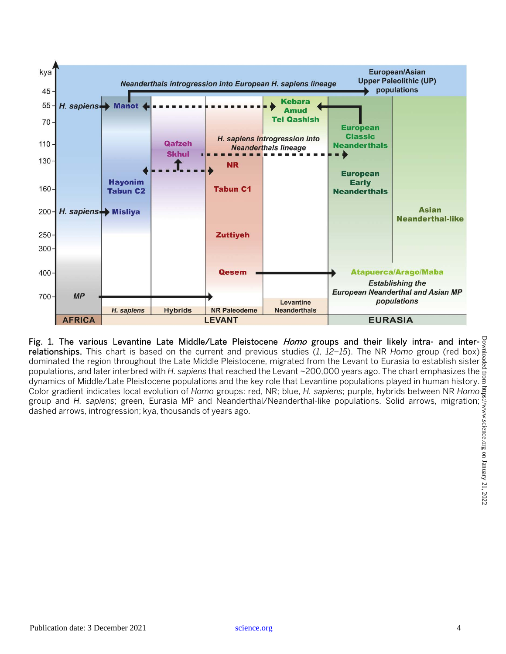

Fig. 1. The various Levantine Late Middle/Late Pleistocene Homo groups and their likely intra- and inter- $\frac{1}{2}$ relationships. This chart is based on the current and previous studies (*1*, *12*–*15*). The NR *Homo* group (red box) dominated the region throughout the Late Middle Pleistocene, migrated from the Levant to Eurasia to establish sister  $\frac{8}{6}$ populations, and later interbred with *H. sapiens* that reached the Levant ~200,000 years ago. The chart emphasizes the dynamics of Middle/Late Pleistocene populations and the key role that Levantine populations played in human history. Color gradient indicates local evolution of *Homo* groups: red, NR; blue, *H. sapiens*; purple, hybrids between NR *Homo* group and *H. sapiens*; green, Eurasia MP and Neanderthal/Neanderthal-like populations. Solid arrows, migration; dashed arrows, introgression; kya, thousands of years ago.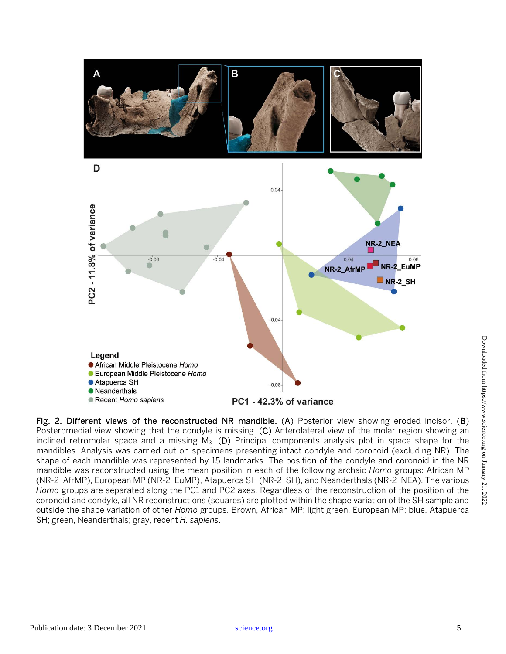

Fig. 2. Different views of the reconstructed NR mandible. (A) Posterior view showing eroded incisor. (B) Posteromedial view showing that the condyle is missing. (C) Anterolateral view of the molar region showing an inclined retromolar space and a missing  $M_3$ . (D) Principal components analysis plot in space shape for the mandibles. Analysis was carried out on specimens presenting intact condyle and coronoid (excluding NR). The shape of each mandible was represented by 15 landmarks. The position of the condyle and coronoid in the NR mandible was reconstructed using the mean position in each of the following archaic *Homo* groups: African MP (NR-2\_AfrMP), European MP (NR-2\_EuMP), Atapuerca SH (NR-2\_SH), and Neanderthals (NR-2\_NEA). The various *Homo* groups are separated along the PC1 and PC2 axes. Regardless of the reconstruction of the position of the coronoid and condyle, all NR reconstructions (squares) are plotted within the shape variation of the SH sample and outside the shape variation of other *Homo* groups. Brown, African MP; light green, European MP; blue, Atapuerca SH; green, Neanderthals; gray, recent *H. sapiens*.